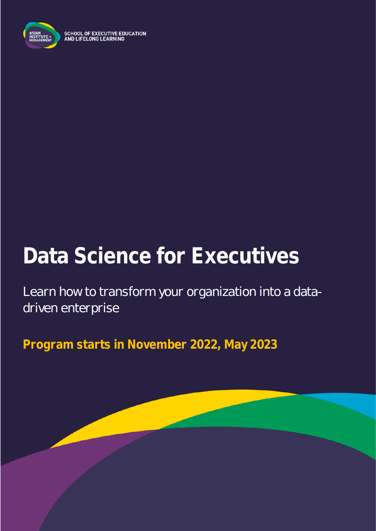

**SCHOOL OF EXECUTIVE EDUCATION<br>AND LIFELONG LEARNING** 

# **Data Science for Executives**

Learn how to transform your organization into a datadriven enterprise

**Program starts in November 2022, May 2023**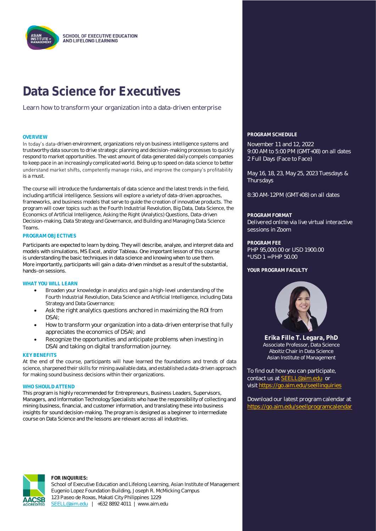

### **Data Science for Executives**

Learn how to transform your organization into a data-driven enterprise

In today's data-driven environment, organizations rely on business intelligence systems and trustworthy data sources to drive strategic planning and decision-making processes to quickly respond to market opportunities. The vast amount of data generated daily compels companies to keep pace in an increasingly complicated world. Being up to speed on data science to better understand market shifts, competently manage risks, and improve the company's profitability is a must.

The course will introduce the fundamentals of data science and the latest trends in the field, including artificial intelligence. Sessions will explore a variety of data-driven approaches, frameworks, and business models that serve to guide the creation of innovative products. The program will cover topics such as the Fourth Industrial Revolution, Big Data, Data Science, the Economics of Artificial Intelligence, Asking the Right (Analytics) Questions, Data-driven Decision-making, Data Strategy and Governance, and Building and Managing Data Science Teams.

#### **PROGRAM OBJECTIVES**

Participants are expected to learn by doing. They will describe, analyze, and interpret data and models with simulations, MS Excel, and/or Tableau. One important lesson of this course is understanding the basic techniques in data science and knowing when to use them. More importantly, participants will gain a data-driven mindset as a result of the substantial, hands-on sessions.

#### **WHAT YOU WILL LEARN**

- Broaden your knowledge in analytics and gain a high-level understanding of the Fourth Industrial Revolution, Data Science and Artificial Intelligence, including Data Strategy and Data Governance;
- Ask the right analytics questions anchored in maximizing the ROI from DSAI;
- How to transform your organization into a data-driven enterprise that fully appreciates the economics of DSAI; and
- Recognize the opportunities and anticipate problems when investing in DSAI and taking on digital transformation journey.

#### **KEY BENEFITS**

At the end of the course, participants will have learned the foundations and trends of data science, sharpened their skills for mining available data, and established a data-driven approach for making sound business decisions within their organizations.

#### **WHO SHOULD ATTEND**

This program is highly recommended for Entrepreneurs, Business Leaders, Supervisors, Managers, and Information Technology Specialists who have the responsibility of collecting and mining business, financial, and customer information, and translating these into business insights for sound decision-making. The program is designed as a beginner to intermediate course on Data Science and the lessons are relevant across all industries.

#### **OVERVIEW PROGRAM SCHEDULE**

November 11 and 12, 2022 9:00 AM to 5:00 PM (GMT+08) on all dates 2 Full Days (Face to Face)

May 16, 18, 23, May 25, 2023 Tuesdays & **Thursdays** 

8:30 AM-12PM (GMT+08) on all dates

#### **PROGRAM FORMAT**

Delivered online via live virtual interactive sessions in Zoom

**PROGRAM FEE** PHP 95,000.00 or USD 1900.00 \*USD 1 = PHP 50.00

#### YOUR PROGRAM FACULTY



**Erika Fille T. Legara, PhD** Associate Professor, Data Science Aboitiz Chair in Data Science Asian Institute of Management

To find out how you can participate, contact us at [SEELL@aim.edu](mailto:SEELL@aim.edu) or visit<https://go.aim.edu/seellinquiries>

Download our latest program calendar at <https://go.aim.edu/seellprogramcalendar>



#### **FOR INQUIRIES:**

School of Executive Education and Lifelong Learning, Asian Institute of Management Eugenio Lopez Foundation Building, Joseph R. McMicking Campus 123 Paseo de Roxas, Makati City Philippines 1229 [SEELL@aim.edu](mailto:SEELL@aim.edu) | +632 8892 4011 | www.aim.edu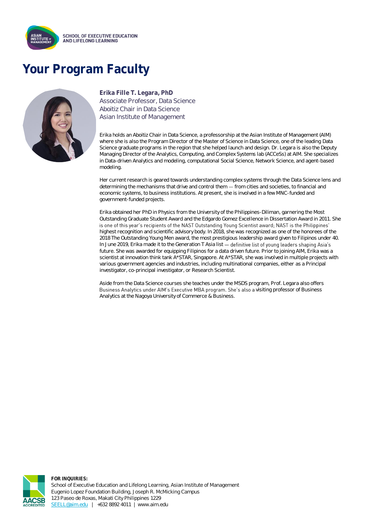

## **Your Program Faculty**



### **Erika Fille T. Legara, PhD**

Associate Professor, Data Science Aboitiz Chair in Data Science Asian Institute of Management

Erika holds an Aboitiz Chair in Data Science, a professorship at the Asian Institute of Management (AIM) where she is also the Program Director of the Master of Science in Data Science, one of the leading Data Science graduate programs in the region that she helped launch and design. Dr. Legara is also the Deputy Managing Director of the Analytics, Computing, and Complex Systems lab (ACCeSs) at AIM. She specializes in Data-driven Analytics and modeling, computational Social Science, Network Science, and agent-based modeling.

Her current research is geared towards understanding complex systems through the Data Science lens and determining the mechanisms that drive and control them - from cities and societies, to financial and economic systems, to business institutions. At present, she is involved in a few MNC-funded and government-funded projects.

Erika obtained her PhD in Physics from the University of the Philippines-Diliman, garnering the Most Outstanding Graduate Student Award and the Edgardo Gomez Excellence in Dissertation Award in 2011. She is one of this year's recipients of the NAST Outstanding Young Scientist award; NAST is the Philippines' highest recognition and scientific advisory body. In 2018, she was recognized as one of the honorees of the 2018 The Outstanding Young Men award, the most prestigious leadership award given to Filipinos under 40. In June 2019, Erika made it to the Generation T Asia list - definitive list of young leaders shaping Asia's future. She was awarded for equipping Filipinos for a data driven future. Prior to joining AIM, Erika was a scientist at innovation think tank A\*STAR, Singapore. At A\*STAR, she was involved in multiple projects with various government agencies and industries, including multinational companies, either as a Principal investigator, co-principal investigator, or Research Scientist.

Aside from the Data Science courses she teaches under the MSDS program, Prof. Legara also offers Business Analytics under AIM's Executive MBA program. She's also a visiting professor of Business Analytics at the Nagoya University of Commerce & Business.



**FOR INQUIRIES:** School of Executive Education and Lifelong Learning, Asian Institute of Management Eugenio Lopez Foundation Building, Joseph R. McMicking Campus 123 Paseo de Roxas, Makati City Philippines 1229 [SEELL@aim.edu](mailto:SEELL@aim.edu) | +632 8892 4011 | www.aim.edu